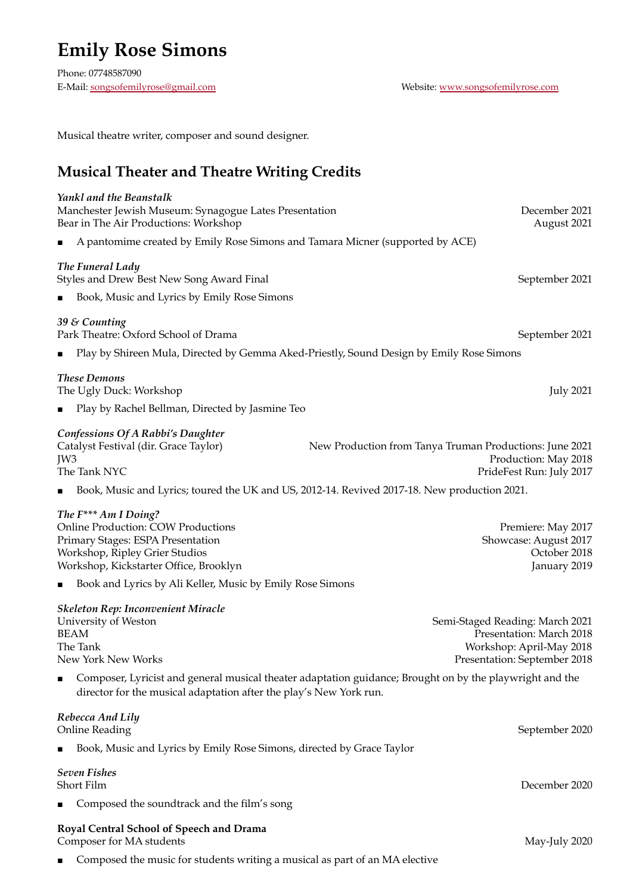## **Emily Rose Simons**

Phone: 07748587090 E-Mail: [songsofemilyrose@gmail.com](mailto:songsofemilyrose@gmail.com) Website: [www.songsofemilyrose.com](http://www.songsofemilyrose.com/)

Musical theatre writer, composer and sound designer.

## **Musical Theater and Theatre Writing Credits**

| Yankl and the Beanstalk<br>Manchester Jewish Museum: Synagogue Lates Presentation<br>Bear in The Air Productions: Workshop                                                                     | December 2021<br>August 2021                                                                                            |
|------------------------------------------------------------------------------------------------------------------------------------------------------------------------------------------------|-------------------------------------------------------------------------------------------------------------------------|
| A pantomime created by Emily Rose Simons and Tamara Micner (supported by ACE)<br>п                                                                                                             |                                                                                                                         |
| The Funeral Lady<br>Styles and Drew Best New Song Award Final                                                                                                                                  | September 2021                                                                                                          |
| Book, Music and Lyrics by Emily Rose Simons<br>п                                                                                                                                               |                                                                                                                         |
| 39 & Counting<br>Park Theatre: Oxford School of Drama                                                                                                                                          | September 2021                                                                                                          |
| п                                                                                                                                                                                              | Play by Shireen Mula, Directed by Gemma Aked-Priestly, Sound Design by Emily Rose Simons                                |
| <b>These Demons</b><br>The Ugly Duck: Workshop                                                                                                                                                 | <b>July 2021</b>                                                                                                        |
| Play by Rachel Bellman, Directed by Jasmine Teo<br>п                                                                                                                                           |                                                                                                                         |
| <b>Confessions Of A Rabbi's Daughter</b><br>Catalyst Festival (dir. Grace Taylor)<br>JW3<br>The Tank NYC                                                                                       | New Production from Tanya Truman Productions: June 2021<br>Production: May 2018<br>PrideFest Run: July 2017             |
|                                                                                                                                                                                                | Book, Music and Lyrics; toured the UK and US, 2012-14. Revived 2017-18. New production 2021.                            |
| The F <sup>***</sup> Am I Doing?<br><b>Online Production: COW Productions</b><br>Primary Stages: ESPA Presentation<br>Workshop, Ripley Grier Studios<br>Workshop, Kickstarter Office, Brooklyn | Premiere: May 2017<br>Showcase: August 2017<br>October 2018<br>January 2019                                             |
| Book and Lyrics by Ali Keller, Music by Emily Rose Simons<br>п                                                                                                                                 |                                                                                                                         |
| <b>Skeleton Rep: Inconvenient Miracle</b><br>University of Weston<br><b>BEAM</b><br>The Tank<br>New York New Works                                                                             | Semi-Staged Reading: March 2021<br>Presentation: March 2018<br>Workshop: April-May 2018<br>Presentation: September 2018 |
| п<br>director for the musical adaptation after the play's New York run.                                                                                                                        | Composer, Lyricist and general musical theater adaptation guidance; Brought on by the playwright and the                |
| Rebecca And Lily<br><b>Online Reading</b>                                                                                                                                                      | September 2020                                                                                                          |
| Book, Music and Lyrics by Emily Rose Simons, directed by Grace Taylor<br>п                                                                                                                     |                                                                                                                         |
| <b>Seven Fishes</b><br>Short Film                                                                                                                                                              | December 2020                                                                                                           |
| Composed the soundtrack and the film's song<br>п                                                                                                                                               |                                                                                                                         |
| Royal Central School of Speech and Drama<br>Composer for MA students                                                                                                                           | May-July 2020                                                                                                           |
| Composed the music for students writing a musical as part of an MA elective<br>п                                                                                                               |                                                                                                                         |